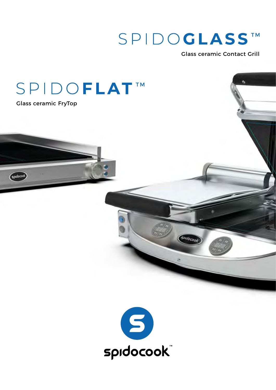# SPIDOGLASSTM

Cardocool

Glass ceramic Contact Grill

 $\bullet$ 

## SPIDOFLAT<sup>™</sup>

Glass ceramic FryTop

 $G<sub>p</sub>udocook$ 

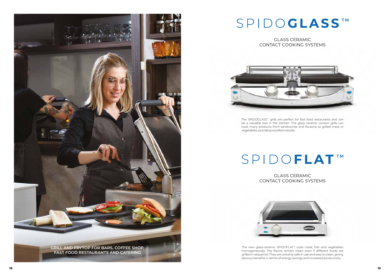GLASS CERAMIC CONTACT COOKING SYSTEMS



GLASS CERAMIC CONTACT COOKING SYSTEMS



The SPIDOGLASS™ grills are perfect for fast food restaurants and can be a valuable tool in the kitchen. The glass ceramic contact grills can cook many products from sandwiches and focaccia to grilled meat or vegetables, providing excellent results.

# SPIDO**FLAT**™

The new glass-ceramic SPIDOFLAT™ cook meat, fish and vegetables homogeneously. The flavors remain intact even if different foods are grilled in sequence. They are certainly safe in use and easy to clean, giving obvious benefits in terms of energy savings and increased productivity.





# SPIDOGLASS™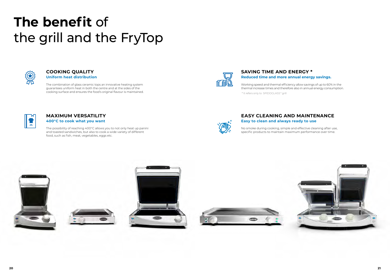

### **EASY CLEANING AND MAINTENANCE Easy to clean and always ready to use**

### **SAVING TIME AND ENERGY \* Reduced time and more annual energy savings.**

The combination of glass ceramic tops an innovative heating system guarantees uniform heat in both the centre and at the sides of the cooking surface and ensures the food's original flavour is maintained.



#### **COOKING QUALITY Uniform heat distribution**

The possibility of reaching 400°C allows you to not only heat up panini and toasted sandwiches, but also to cook a wide variety of different food, such as fish, meat, vegetables, eggs etc.



#### **MAXIMUM VERSATILITY 400°C to cook what you want**

# **The benefit** of the grill and the FryTop



No smoke during cooking, simple and effective cleaning after use, specific products to maintain maximum performance over time.









Working speed and thermal efficiency allow savings of up to 60% in the thermal increase times and therefore also in annual energy consumption.

\* It refers only to SPIDOGLASS™ grill

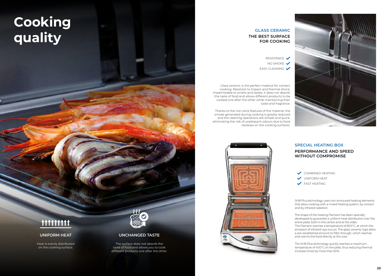# **Cooking quality**

#### **UNCHANGED TASTE**

The surface does not absorb the taste of food and allows you to cook different products one after the other.

## 111111111

#### **UNIFORM HEAT**

Heat is evenly distributed on the cooking surface.



### **THE BEST SURFACE FOR COOKING GLASS CERAMIC**

RESISTANCE NO SMOKE EASY CLEANING

Glass ceramic is the perfect material for contact cooking. Resistant to impact and thermal shock, impermeable to smells and tastes, it does not absorb the taste of food and allows different products to be cooked one after the other while maintaining their taste and fragrance.

Thanks to the non-stick features of the material, the smoke generated during cooking is greatly reduced and the cleaning operations are simple and quick, eliminating the risk of unpleasant odours due to food residues on the cooking surfaces.





SHB Plus technology uses non-armoured heating elements that allow cooking with a mixed heating system, by contact and by infrared radiation.

The shape of the heating filament has been specially developed to guarantee a uniform heat distribution over the entire plate, both in the centre and at the sides. The filament reaches a temperature of 800°C, at which the emission of infrared rays occurs. The glass ceramic tops allow a pre-established amount to filter through, which reaches and warms the food directly at the core.

The SHB Plus technology quickly reaches a maximum temperature of 400°C on the plate, thus reducing thermal increase times by more than 60%.

### **PERFORMANCE AND SPEED WITHOUT COMPROMISE**

COMBINED HEATING UNIFORM HEAT **FAST HEATING** 

### **SPECIAL HEATING BOX**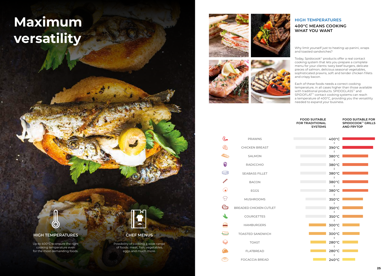# **Maximum versatility**



#### **HIGH TEMPERATURES**

Up to 400°C to ensure the right cooking temperature even for the most demanding foods.



#### **CHEF MENUS**

Possibility of cooking a wide range of foods: meat, fish, vegetables, eggs and much more.

### **400°C MEANS COOKING WHAT YOU WANT HIGH TEMPERATURES**

Each of these foods needs a correct cooking temperature, in all cases higher than those available with traditional products. SPIDOGLASS™ and SPIDOFLAT™ contact cooking systems can reach a temperature of 400°C, providing you the versatility needed to expand your business.

Why limit yourself just to heating up panini, wraps and toasted sandwiches?

Today, Spidocook™ products offer a real contact cooking system that lets you prepare a complete menu for your clients: tasty beef burgers, delicate pieces of salmon, delicious seasonal vegetables, sophisticated prawns, soft and tender chicken fillets and crispy bacon.



|       | <b>PRAWNS</b>                 |
|-------|-------------------------------|
|       | <b>CHICKEN BREAST</b>         |
|       | <b>SALMON</b>                 |
|       | <b>RADICCHIO</b>              |
| پته ه | <b>SEABASS FILLET</b>         |
|       | <b>BACON</b>                  |
|       | <b>EGGS</b>                   |
|       | <b>MUSHROOMS</b>              |
|       | <b>BREADED CHICKEN CUTLET</b> |
|       | <b>COURGETTES</b>             |
|       | <b>HAMBURGERS</b>             |
|       | <b>TOASTED SANDWICH</b>       |
|       | <b>TOAST</b>                  |
|       | <b>FLATBREAD</b>              |
|       | <b>FOCACCIA BREAD</b>         |

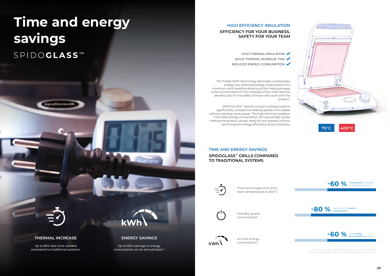**kWh**

# **Time and energy savings**

SPIDOGLASS<sup>TM</sup>

врибосоо

#### **THERMAL INCREASE**

Up to 60% less time needed compared to traditional systems. **ENERGY SAVINGS**

Up to 60% savings in energy consumption on an annual basis \*.

#### **HIGH EFFICIENCY INSULATION**

#### **EFFICIENCY FOR YOUR BUSINESS, SAFETY FOR YOUR TEAM**

HIGH THERMAL INSULATION  $\blacktriangledown$ QUICK THERMAL INCREASE TIME REDUCED ENERGY CONSUMPTION

The Protek.SAFE technology eliminates unnecessary energy loss, reducing energy consumption to a minimum and therefore allowing all the heating energy to be concentrated on the cooking surface, with obvious benefits also for the safety of those who work with the product.

SPIDOGLASS™ electric contact cooking systems significantly increase the heating speed of the plates without needing more power. The high thermal insulation minimizes energy consumption during standby cycles, making the product always ready for any request without sacrificing the energy efficiency of your business.

#### **TIME AND ENERGY SAVINGS SPIDOGLASS™ GRILLS COMPARED TO TRADITIONAL SYSTEMS**









\* Annual consumption (250 days) in kWh on a 4 hour working/ 2 hour standby cycle at 300°C with double electric contact grill.

Thermal increase time from room temperature to 200°C



Standby power consumption



Annual energy consumption

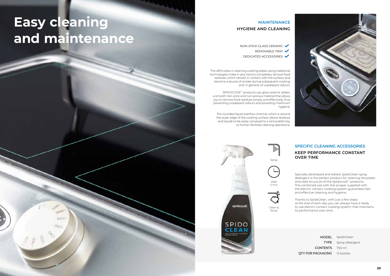# **Easy cleaning and maintenance**

Specially developed and tested, SpidoClean spray detergent is the perfect product for cleaning the plates and steel structure of the Spidocook™ products. The combined use with the scraper supplied with the electric contact cooking system guarantees fast and effective cleaning and hygiene.

MODEL TYPE CONTENTS 750 ml QTY FOR PACKAGING 12 bottles

Thanks to SpidoClean, with just a few steps at the end of each day you can always have a ready to use electric contact cooking system, that maintains its performance over time.

### **KEEP PERFORMANCE CONSTANT OVER TIME SPECIFIC CLEANING ACCESSORIES**

SpidoClean Spray detergent

The difficulties in cleaning cooking plates using traditional technologies make it very hard to completely remove food residues, which remain in contact with the surface, and become a source of smoke during subsequent cooking and, in general, of unpleasant odours.

SPIDOCOOK™ products use glass ceramic plates, a smooth non-stick and non-porous material that allows you to remove food residues simply and effectively, thus preventing unpleasant odours and providing maximum hygiene.

The rounded liquid overflow channel, which is around the outer edge of the cooking surface, allows residues and liquids to be easily conveyed to a removable tray, to further facilitate cleaning operations.

### **HYGIENE AND CLEANING MAINTENANCE**

NON-STICK GLASS CERAMIC REMOVABLE TRAY DEDICATED ACCESSORIES





 $0^{96}$ 

 $OZE$ 

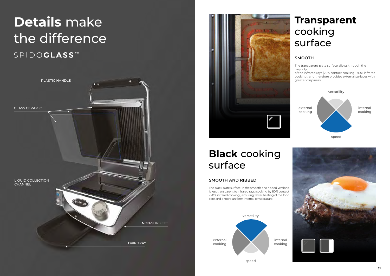### **SMOOTH AND RIBBED**

The black plate surface, in the smooth and ribbed versions, is less transparent to infrared rays (cooking by 80% contact - 20% infrared cooking), ensuring faster heating of the food core and a more uniform internal temperature.

## **Transparent** cooking surface

### **SMOOTH**

The transparent plate surface allows through the majority

# **Details** make the differenceSPIDOGLASSTM

of the infrared rays (20% contact cooking - 80% infrared cooking), and therefore provides external surfaces with greater crispiness.

## **Black** cooking surface









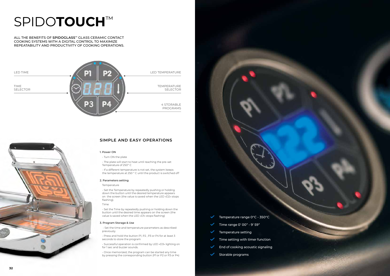



#### 1. Power ON

- Turn ON the plate

- If a different temperature is not set, the system keeps the temperature at 250 ° C until the product is switched off

- The plate will start to heat until reaching the pre-set Temperature of 250° C

#### 2. Parameters setting

#### 3. Program Storage & Use

- Set the time and temperature parameters as described previously.

- Press and hold the button P1, P2 , P3 or P4 for at least 3 seconds to store the program

- Successful operation is confirmed by LED «D3» lighting on for 1 sec and buzzer sounds.

- Once memorized, the program can be started any time by pressing the corresponding button (P1 or P2 or P3 or P4)

ALL THE BENEFITS OF **SPIDOGLASS™** GLASS CERAMIC CONTACT COOKING SYSTEMS WITH A DIGITAL CONTROL TO MAXIMIZE REPEATABILITY AND PRODUCTIVITY OF COOKING OPERATIONS.

> Temperature range 0°C - 350°C Time range 0' 00" - 9' 59"  $\checkmark$ Temperature setting  $\checkmark$ Time setting with timer function  $\checkmark$ End of cooking acoustic signaling  $\checkmark$ Storable programs

 $\checkmark$ 

# SPIDO**TOUCH**™



Temperature

- Set the Temperature by repeatedly pushing or holding down the button until the desired temperature appears on the screen (the value is saved when the LED «D2» stops flashing).

#### Time

- Set the Time by repeatedly pushing or holding down the button until the desired time appears on the screen (the value is saved when the LED «D1» stops flashing)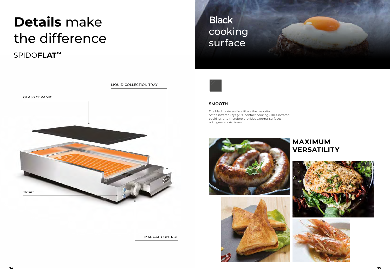



The black plate surface filters the majority of the infrared rays (20% contact cooking - 80% infrared cooking), and therefore provides external surfaces with greater crispiness.





#### **SMOOTH**

## **Black** cooking surface



## **MAXIMUM VERSATILITY**





# **Details** make the difference

SPIDO**FLAT**™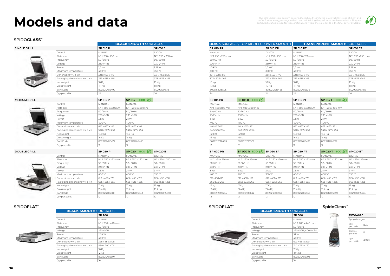# **Models and data**

#### SPIDO**GLASS**™



**BLACK SMOOTH** SURFACES

#### **DOUBLE GRILL**

 $MEDIUM GRILL$ 



## **BLACK SMOOTH** SURFACES **BLACK SMOOTH** SURFACES

### SPIDO**FLAT**™ SPIDO**FLAT**™ **SpidoClean™**



**SINGLE GRILL SP 010 P SP 010 E**

Control MANUAL DIGITAL

|                                | <b>SP 200</b>   |
|--------------------------------|-----------------|
| Control                        | <b>MANUAL</b>   |
| Plate size                     | N°1280 x 440 mm |
| Frequency                      | $50/60$ Hz      |
| Voltage                        | 230V~M          |
| Power                          | 2.5 kW          |
| Maximum temperature            | 400 °C          |
| Dimensions w x d x h           | 398 x 654 x 128 |
| Packaging dimensions w x d x h | 450 x 700 x 170 |
| Net weight                     | 10 Kg           |
| Gross weight                   | 12 Kg           |
| <b>FAN Code</b>                | 8029212015697   |

Qty per pallet 16



The ECO versions are custom designed to reduce the installed power (2kW instead of 3kW) and<br>to offer further energy savings in their use, maintaining the performance characteristics. They are<br>.particularly suitable even fo



| - |  |  |
|---|--|--|
|   |  |  |

| P 300                      |
|----------------------------|
| <b><i>AANUAL</i></b>       |
| √° 2 280 x 440 mm          |
| i0 / 60 Hz                 |
| :30 V~ 1N /400 V~ 3N       |
| , kW                       |
| ⊦00 °C                     |
| 593 x 654 x 129            |
| $70 \times 760 \times 170$ |
| 7 Ka                       |
| 8,4 Kg                     |
| 029212015703               |
|                            |

|                  | <b>BLACK</b> SURFACES, TOP RIBBED, LOWER SMOOTH |                  | <b>TRANSPARENT SMOOTH SURFACES</b> |
|------------------|-------------------------------------------------|------------------|------------------------------------|
| <b>SP 010 PR</b> | <b>SP 010 ER</b>                                | <b>SP 010 PT</b> | <b>SP 010 ET</b>                   |
| MANUAL           | <b>DIGITAL</b>                                  | MANUAL           | <b>DIGITAL</b>                     |
| N°1 250 x 250 mm | N°1250 x 250 mm                                 | N°1 250 x250 mm  | Nº1 250 x250 mm                    |
| $50/60$ Hz       | $50/60$ Hz                                      | $50/60$ Hz       | 50/60 Hz                           |
| 230 V~1N         | 230 V~ 1N                                       | 230 V~1N         | 230 V~1N                           |
| 1.5 kW           | $1.5$ kW                                        | 1,5 kW           | 1.5 kW                             |
| 400 °C           | 350 °C                                          | 400 °C           | 350 °C                             |
| 331 x 458 x 176  | 331 x 458 x 176                                 | 331 x 458 x 176  | 331 x 458 x 176                    |
| 373 x 535 x 265  | 373 x 535 x 265                                 | 373 x 535 x 265  | 373 x 535 x 265                    |
| 10 Kg            | 10 Kg                                           | 10 Kg            | 10 Kg                              |
| 11,1 Kg          | 11,1 Kg                                         | 11,1 Kg          | 11,1 Kg                            |
| 8029212015505    | 8029212015468                                   | 8029212015536    | 8029212015482                      |
| 24               | 24                                              | 24               | 24                                 |

|  | Plate size                       | Nº 1 250 x 250 mm  |                                    | Nº 1 250 x 250 mm |  |
|--|----------------------------------|--------------------|------------------------------------|-------------------|--|
|  | Frequency                        | $50/60$ Hz         |                                    | $50/60$ Hz        |  |
|  | Voltage                          | 230 V~1N           |                                    | 230 V~1N          |  |
|  | Power                            | 1,5 kW             |                                    | 1.5 kW            |  |
|  | Maximum temperature              | 400 °C             |                                    | 350 °C            |  |
|  | $Dimensions$ w $x$ d $x$ h       | 331 x 458 x 176    |                                    | 331 x 458 x 176   |  |
|  | Packaging dimensions w x d x h   | 373 x 535 x 265    |                                    | 373 x 535 x 265   |  |
|  | Net weight                       | 10 Kg              |                                    |                   |  |
|  | Gross weight                     | 11,1 Kg            |                                    |                   |  |
|  | <b>EAN Code</b>                  | 8029212015499      |                                    | 8029212015451     |  |
|  | Qty per pallet                   | 24                 |                                    | 24                |  |
|  |                                  | <b>SP 015 P</b>    | ECO $\circledast$<br><b>SP 015</b> |                   |  |
|  | Control                          | MANUAL             | MANUAL                             |                   |  |
|  | Plate size                       | N°1400 x 300 mm    | N°1400 x 300 mm                    |                   |  |
|  | Frequency                        | $50/60$ Hz         | $50/60$ Hz                         |                   |  |
|  | Voltage                          | 230 V~1N           | 230 V~1N                           |                   |  |
|  | Power                            | 3 kW               | 2 kW                               |                   |  |
|  | Maximum temperature              | 400 °C             | 400 °C                             |                   |  |
|  | Dimensionswxdxh                  | 481 x 457 x 182    | 481 x 457 x 182                    |                   |  |
|  | Packaging dimensions w x d x h   | 540 x 527 x 254    | 540 x 527 x 254                    |                   |  |
|  | Net weight                       | 14,9 Kg<br>14,9 Kg |                                    |                   |  |
|  | Gross weight                     | 16 Kg              | 16 Kg                              |                   |  |
|  | <b>EAN Code</b>                  | 8029212016472      | 8029212016465                      |                   |  |
|  | Qty per pallet                   | 12                 | 12                                 |                   |  |
|  |                                  | <b>SP 020 P</b>    | ECO $(2)$<br><b>SP 020</b>         | <b>SP 020 E</b>   |  |
|  | Control                          | <b>MANUAL</b>      | <b>MANUAL</b>                      | <b>DIGITAL</b>    |  |
|  | Plate size                       | Nº 2 250 x 250 mm  | N° 2 250 x 250 mm                  | Nº 2 250 x 250 mm |  |
|  | Frequency                        | $50/60$ Hz         | $50/60$ Hz                         | $50/60$ Hz        |  |
|  | Voltage                          | 230 V~1N           | 230 V~1N                           | 230 V~ 1N         |  |
|  | Power                            | 3 kW               | 2 kW                               | 3 kW              |  |
|  | Maximum temperature              | 400 °C             | 400 °C                             | 350 °C            |  |
|  | Dimensions $w \times d \times h$ | 619 x 458 x 176    | 619 x 458 x 176                    | 619 x 458 x 176   |  |
|  | Packaging dimensions w x d x h   | 665 x 535 x 265    | 665 x 535 x 265                    | 665 x 535 x 265   |  |
|  | Net weight                       | 17 Kg              | 17 Kg                              | 17 Kg             |  |
|  | Gross weight                     | 19,4 Kg            | 19,4 Kg                            | 19,4 Kg           |  |
|  | <b>EAN Code</b>                  | 8029212015581      | 8029212015543                      | 8029212015550     |  |
|  | Qty per pallet                   | 12                 | 12                                 | 12                |  |

| DB1046A0                  |                  |  |  |  |  |
|---------------------------|------------------|--|--|--|--|
|                           | Spray detergent  |  |  |  |  |
| Qty<br>per code           | 1 <sub>box</sub> |  |  |  |  |
| <b>Bottles</b><br>per box | 12               |  |  |  |  |
| Qty<br>per bottle         | 750 ml           |  |  |  |  |

| ECO 42 | <b>SP 020 E</b>   | <b>SP 020 PR</b>  | SP 020 R $ECO$ $\left($ P $\right)$ SP 020 ER |                   | <b>SP 020 PT</b>  | $SP$ 020 T $ECO$ $47$ |
|--------|-------------------|-------------------|-----------------------------------------------|-------------------|-------------------|-----------------------|
|        | <b>DIGITAL</b>    | MANUAL            | <b>MANUAL</b>                                 | <b>DIGITAL</b>    | MANUAL            | MANUAL                |
|        | N° 2 250 x 250 mm | N° 2 250 x 250 mm | N° 2 250 x 250 mm                             | Nº 2 250 x 250 mm | N° 2 250 x 250 mm | N° 2 250 x 250 mm     |
|        | $50/60$ Hz        | $50/60$ Hz        | 50/60 Hz                                      | $50/60$ Hz        | $50/60$ Hz        | 50/60 Hz              |
|        | 230 V~M           | 230 V~M           | 230 V~ 1N                                     | 230 V~M           | 230 V~M           | 230 V~ 1N             |
|        | 3 kW              | 3 kW              | 2 kW                                          | 3 kW              | 3 kW              | 2 kW                  |
|        | 350 °C            | 400 °C            | 400 °C                                        | 350 °C            | 400 °C            | 400 °C                |
|        | 619 x 458 x 176   | 619x458x176       | 619 x 458 x 176                               | 619 x 458 x 176   | 619 x 458 x 176   | 619 x 458 x 176       |
|        | 665 x 535 x 265   | 665x535x265       | 665 x 535 x 265                               | 665 x 535 x 265   | 665 x 535 x 265   | 665 x 535 x 265       |
|        | 17 Ka             | 17 Kg             | 17 Kg                                         | 17 Kg             | 17 Kg             | 17 Kg                 |
|        | 19,4 Kg           | 19,4 Kg           | 19,4 Kg                                       | 19,4 Kg           | 19.4 Ka           | 19,4 Kg               |
|        | 8029212015550     | 8029212015604     | 8029212015642                                 | 8029212015567     | 8029212015635     | 8029212015659         |
|        | 12                | 12                | 12                                            | 12                | 12                | 12                    |

| SP 015 PR      | SP 015 R $ECO$  | <b>SP 015 PT</b> | $ECO$ $\Omega$<br><b>SP 015 T</b> |
|----------------|-----------------|------------------|-----------------------------------|
| <b>MANUAL</b>  | MANUAL          | <b>MANUAL</b>    | <b>MANUAL</b>                     |
| N°1 400x300 mm | N°1400 x300 mm  | N°1400 x 300 mm  | N°1400x300 mm                     |
| $50/60$ Hz     | $50/60$ Hz      | 50/60 Hz         | $50/60$ Hz                        |
| 230 V~ 1N      | 230 V~ 1N       | 230 V~1N         | 230 V~1N                          |
| 3 kW           | 2 kW            | 3 kW             | 2 kW                              |
| 400 °C         | 400 °C          | 400 °C           | 400 °C                            |
| 481x457x182    | 481 x 457 x 182 | 481 x 457 x 182  | 481 x 457 x 182                   |
| 540x527x254    | 540 x 527 x 254 | 540 x 527 x 254  | 540 x 527 x 254                   |
| 14,9 Kg        | 14,9 Kg         | 14.9 Kg          | 14,9 Kg                           |
| 16 Kg          | 16 Kg           | 16 Kg            | 16 Kg                             |
| 8029212016489  | 8029212016502   | 8029212016496    | 8029212016519                     |
| 12             | 12              | 12               | 12                                |